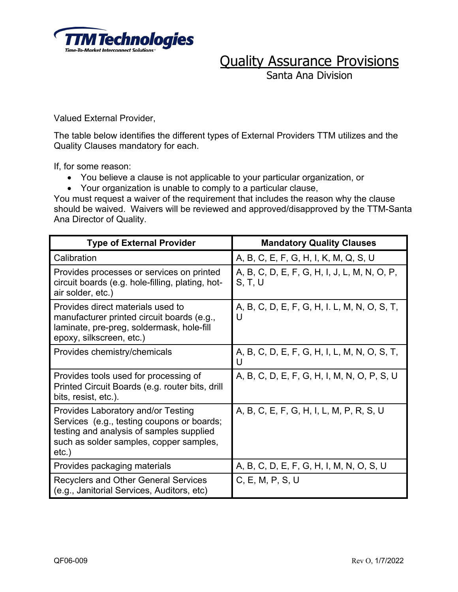

Santa Ana Division

Valued External Provider,

The table below identifies the different types of External Providers TTM utilizes and the Quality Clauses mandatory for each.

If, for some reason:

- You believe a clause is not applicable to your particular organization, or
- Your organization is unable to comply to a particular clause,

You must request a waiver of the requirement that includes the reason why the clause should be waived. Waivers will be reviewed and approved/disapproved by the TTM-Santa Ana Director of Quality.

| <b>Type of External Provider</b>                                                                                                                                                    | <b>Mandatory Quality Clauses</b>                        |
|-------------------------------------------------------------------------------------------------------------------------------------------------------------------------------------|---------------------------------------------------------|
| Calibration                                                                                                                                                                         | A, B, C, E, F, G, H, I, K, M, Q, S, U                   |
| Provides processes or services on printed<br>circuit boards (e.g. hole-filling, plating, hot-<br>air solder, etc.)                                                                  | A, B, C, D, E, F, G, H, I, J, L, M, N, O, P,<br>S, T, U |
| Provides direct materials used to<br>manufacturer printed circuit boards (e.g.,<br>laminate, pre-preg, soldermask, hole-fill<br>epoxy, silkscreen, etc.)                            | A, B, C, D, E, F, G, H, I. L, M, N, O, S, T,<br>U       |
| Provides chemistry/chemicals                                                                                                                                                        | A, B, C, D, E, F, G, H, I, L, M, N, O, S, T,<br>U       |
| Provides tools used for processing of<br>Printed Circuit Boards (e.g. router bits, drill<br>bits, resist, etc.).                                                                    | A, B, C, D, E, F, G, H, I, M, N, O, P, S, U             |
| Provides Laboratory and/or Testing<br>Services (e.g., testing coupons or boards;<br>testing and analysis of samples supplied<br>such as solder samples, copper samples,<br>$etc.$ ) | A, B, C, E, F, G, H, I, L, M, P, R, S, U                |
| Provides packaging materials                                                                                                                                                        | A, B, C, D, E, F, G, H, I, M, N, O, S, U                |
| <b>Recyclers and Other General Services</b><br>(e.g., Janitorial Services, Auditors, etc)                                                                                           | C, E, M, P, S, U                                        |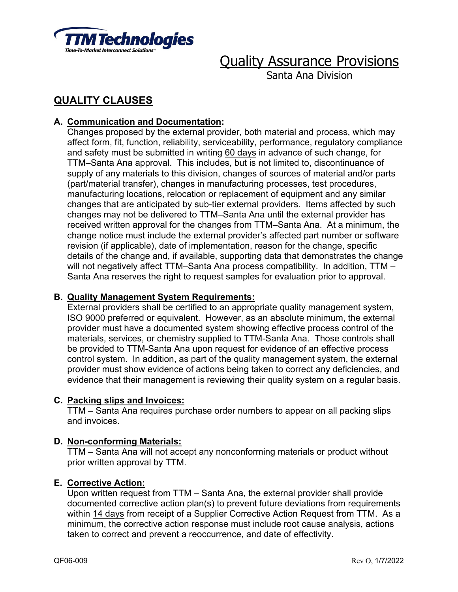

Santa Ana Division

# **QUALITY CLAUSES**

# **A. Communication and Documentation:**

Changes proposed by the external provider, both material and process, which may affect form, fit, function, reliability, serviceability, performance, regulatory compliance and safety must be submitted in writing 60 days in advance of such change, for TTM–Santa Ana approval. This includes, but is not limited to, discontinuance of supply of any materials to this division, changes of sources of material and/or parts (part/material transfer), changes in manufacturing processes, test procedures, manufacturing locations, relocation or replacement of equipment and any similar changes that are anticipated by sub-tier external providers. Items affected by such changes may not be delivered to TTM–Santa Ana until the external provider has received written approval for the changes from TTM–Santa Ana. At a minimum, the change notice must include the external provider's affected part number or software revision (if applicable), date of implementation, reason for the change, specific details of the change and, if available, supporting data that demonstrates the change will not negatively affect TTM–Santa Ana process compatibility. In addition, TTM – Santa Ana reserves the right to request samples for evaluation prior to approval.

# **B. Quality Management System Requirements:**

External providers shall be certified to an appropriate quality management system, ISO 9000 preferred or equivalent. However, as an absolute minimum, the external provider must have a documented system showing effective process control of the materials, services, or chemistry supplied to TTM-Santa Ana. Those controls shall be provided to TTM-Santa Ana upon request for evidence of an effective process control system. In addition, as part of the quality management system, the external provider must show evidence of actions being taken to correct any deficiencies, and evidence that their management is reviewing their quality system on a regular basis.

# **C. Packing slips and Invoices:**

TTM – Santa Ana requires purchase order numbers to appear on all packing slips and invoices.

# **D. Non-conforming Materials:**

TTM – Santa Ana will not accept any nonconforming materials or product without prior written approval by TTM.

# **E. Corrective Action:**

Upon written request from TTM – Santa Ana, the external provider shall provide documented corrective action plan(s) to prevent future deviations from requirements within 14 days from receipt of a Supplier Corrective Action Request from TTM. As a minimum, the corrective action response must include root cause analysis, actions taken to correct and prevent a reoccurrence, and date of effectivity.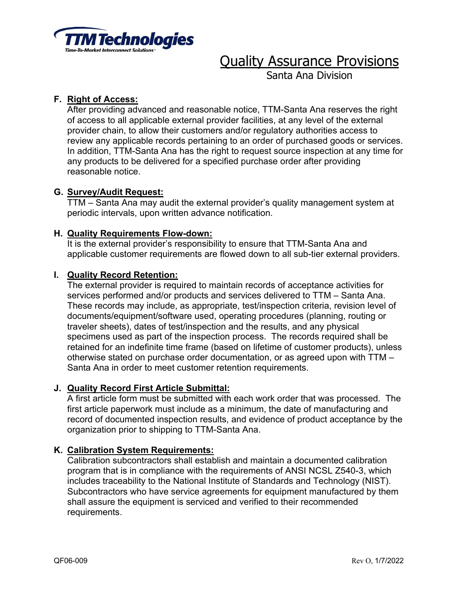

Santa Ana Division

# **F. Right of Access:**

After providing advanced and reasonable notice, TTM-Santa Ana reserves the right of access to all applicable external provider facilities, at any level of the external provider chain, to allow their customers and/or regulatory authorities access to review any applicable records pertaining to an order of purchased goods or services. In addition, TTM-Santa Ana has the right to request source inspection at any time for any products to be delivered for a specified purchase order after providing reasonable notice.

# **G. Survey/Audit Request:**

TTM – Santa Ana may audit the external provider's quality management system at periodic intervals, upon written advance notification.

# **H. Quality Requirements Flow-down:**

It is the external provider's responsibility to ensure that TTM-Santa Ana and applicable customer requirements are flowed down to all sub-tier external providers.

#### **I. Quality Record Retention:**

The external provider is required to maintain records of acceptance activities for services performed and/or products and services delivered to TTM – Santa Ana. These records may include, as appropriate, test/inspection criteria, revision level of documents/equipment/software used, operating procedures (planning, routing or traveler sheets), dates of test/inspection and the results, and any physical specimens used as part of the inspection process. The records required shall be retained for an indefinite time frame (based on lifetime of customer products), unless otherwise stated on purchase order documentation, or as agreed upon with TTM – Santa Ana in order to meet customer retention requirements.

# **J. Quality Record First Article Submittal:**

A first article form must be submitted with each work order that was processed. The first article paperwork must include as a minimum, the date of manufacturing and record of documented inspection results, and evidence of product acceptance by the organization prior to shipping to TTM-Santa Ana.

# **K. Calibration System Requirements:**

Calibration subcontractors shall establish and maintain a documented calibration program that is in compliance with the requirements of ANSI NCSL Z540-3, which includes traceability to the National Institute of Standards and Technology (NIST). Subcontractors who have service agreements for equipment manufactured by them shall assure the equipment is serviced and verified to their recommended requirements.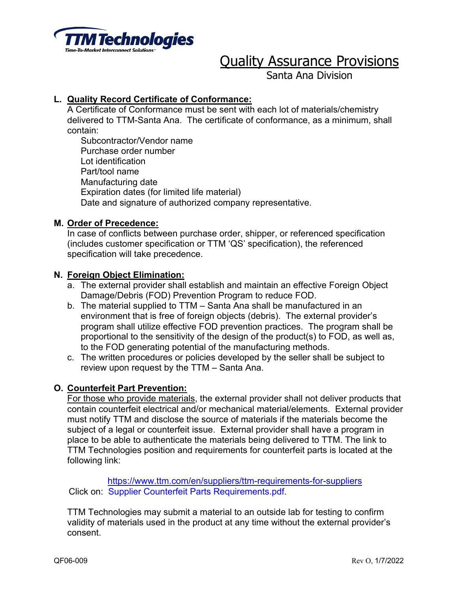

Santa Ana Division

# **L. Quality Record Certificate of Conformance:**

A Certificate of Conformance must be sent with each lot of materials/chemistry delivered to TTM-Santa Ana. The certificate of conformance, as a minimum, shall contain:

Subcontractor/Vendor name Purchase order number Lot identification Part/tool name Manufacturing date Expiration dates (for limited life material) Date and signature of authorized company representative.

#### **M. Order of Precedence:**

In case of conflicts between purchase order, shipper, or referenced specification (includes customer specification or TTM 'QS' specification), the referenced specification will take precedence.

#### **N. Foreign Object Elimination:**

- a. The external provider shall establish and maintain an effective Foreign Object Damage/Debris (FOD) Prevention Program to reduce FOD.
- b. The material supplied to TTM Santa Ana shall be manufactured in an environment that is free of foreign objects (debris). The external provider's program shall utilize effective FOD prevention practices. The program shall be proportional to the sensitivity of the design of the product(s) to FOD, as well as, to the FOD generating potential of the manufacturing methods.
- c. The written procedures or policies developed by the seller shall be subject to review upon request by the TTM – Santa Ana.

# **O. Counterfeit Part Prevention:**

For those who provide materials, the external provider shall not deliver products that contain counterfeit electrical and/or mechanical material/elements. External provider must notify TTM and disclose the source of materials if the materials become the subject of a legal or counterfeit issue. External provider shall have a program in place to be able to authenticate the materials being delivered to TTM. The link to TTM Technologies position and requirements for counterfeit parts is located at the following link:

https://www.ttm.com/en/suppliers/ttm-requirements-for-suppliers Click on: Supplier Counterfeit Parts Requirements.pdf.

TTM Technologies may submit a material to an outside lab for testing to confirm validity of materials used in the product at any time without the external provider's consent.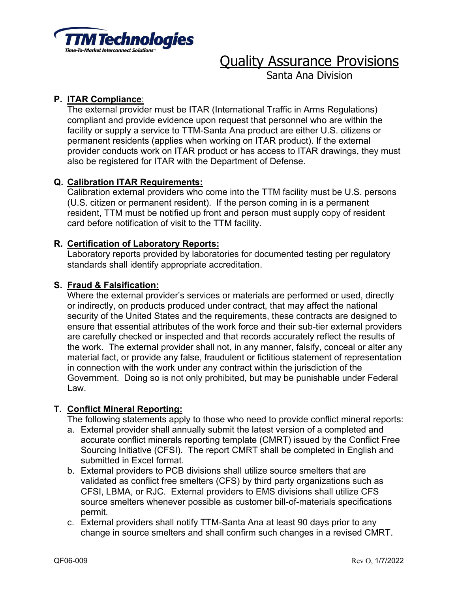

Santa Ana Division

# **P. ITAR Compliance**:

The external provider must be ITAR (International Traffic in Arms Regulations) compliant and provide evidence upon request that personnel who are within the facility or supply a service to TTM-Santa Ana product are either U.S. citizens or permanent residents (applies when working on ITAR product). If the external provider conducts work on ITAR product or has access to ITAR drawings, they must also be registered for ITAR with the Department of Defense.

# **Q. Calibration ITAR Requirements:**

Calibration external providers who come into the TTM facility must be U.S. persons (U.S. citizen or permanent resident). If the person coming in is a permanent resident, TTM must be notified up front and person must supply copy of resident card before notification of visit to the TTM facility.

# **R. Certification of Laboratory Reports:**

Laboratory reports provided by laboratories for documented testing per regulatory standards shall identify appropriate accreditation.

# **S. Fraud & Falsification:**

Where the external provider's services or materials are performed or used, directly or indirectly, on products produced under contract, that may affect the national security of the United States and the requirements, these contracts are designed to ensure that essential attributes of the work force and their sub-tier external providers are carefully checked or inspected and that records accurately reflect the results of the work. The external provider shall not, in any manner, falsify, conceal or alter any material fact, or provide any false, fraudulent or fictitious statement of representation in connection with the work under any contract within the jurisdiction of the Government. Doing so is not only prohibited, but may be punishable under Federal Law.

# **T. Conflict Mineral Reporting:**

The following statements apply to those who need to provide conflict mineral reports:

- a. External provider shall annually submit the latest version of a completed and accurate conflict minerals reporting template (CMRT) issued by the Conflict Free Sourcing Initiative (CFSI). The report CMRT shall be completed in English and submitted in Excel format.
- b. External providers to PCB divisions shall utilize source smelters that are validated as conflict free smelters (CFS) by third party organizations such as CFSI, LBMA, or RJC. External providers to EMS divisions shall utilize CFS source smelters whenever possible as customer bill-of-materials specifications permit.
- c. External providers shall notify TTM-Santa Ana at least 90 days prior to any change in source smelters and shall confirm such changes in a revised CMRT.